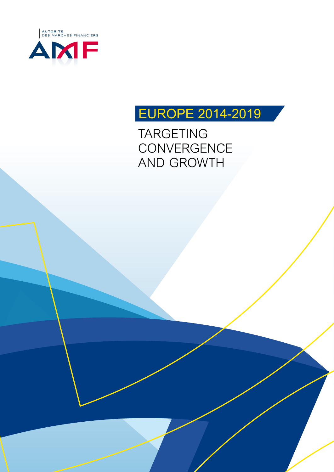

# *EUROPE 2014-2019*

*TARGETING CONVERGENCE AND GROWTH*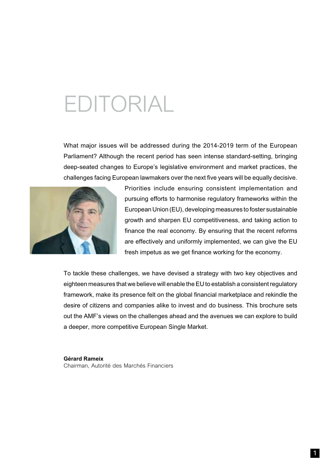# *EDITORIAL*

*What major issues will be addressed during the 2014-2019 term of the European Parliament? Although the recent period has seen intense standard-setting, bringing deep-seated changes to Europe's legislative environment and market practices, the challenges facing European lawmakers over the next five years will be equally decisive.* 



*Priorities include ensuring consistent implementation and pursuing efforts to harmonise regulatory frameworks within the European Union (EU), developing measures to foster sustainable growth and sharpen EU competitiveness, and taking action to finance the real economy. By ensuring that the recent reforms are effectively and uniformly implemented, we can give the EU fresh impetus as we get finance working for the economy.*

*To tackle these challenges, we have devised a strategy with two key objectives and eighteen measures that we believe will enable the EU to establish a consistent regulatory framework, make its presence felt on the global financial marketplace and rekindle the desire of citizens and companies alike to invest and do business. This brochure sets out the AMF's views on the challenges ahead and the avenues we can explore to build a deeper, more competitive European Single Market.*

*Gérard Rameix Chairman, Autorité des Marchés Financiers*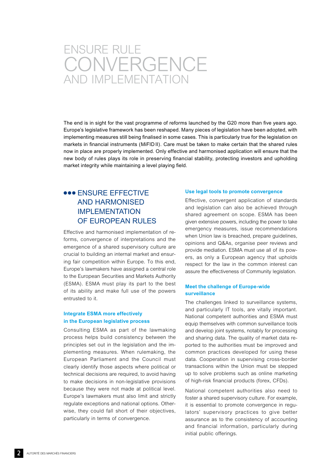# *ENSURE RULE CONVERGENCE AND IMPLEMENTATION*

*The end is in sight for the vast programme of reforms launched by the G20 more than five years ago. Europe's legislative framework has been reshaped. Many pieces of legislation have been adopted, with implementing measures still being finalised in some cases. This is particularly true for the legislation on markets in financial instruments (MiFID II). Care must be taken to make certain that the shared rules*  now in place are properly implemented. Only effective and harmonised application will ensure that the new body of rules plays its role in preserving financial stability, protecting investors and upholding *market integrity while maintaining a level playing field.*

# *ENSURE EFFECTIVE AND HARMONISED IMPLEMENTATION OF EUROPEAN RULES*

*Effective and harmonised implementation of reforms, convergence of interpretations and the emergence of a shared supervisory culture are crucial to building an internal market and ensuring fair competition within Europe. To this end, Europe's lawmakers have assigned a central role to the European Securities and Markets Authority (ESMA). ESMA must play its part to the best of its ability and make full use of the powers entrusted to it.* 

#### *Integrate ESMA more effectively in the European legislative process*

*Consulting ESMA as part of the lawmaking process helps build consistency between the principles set out in the legislation and the implementing measures. When rulemaking, the European Parliament and the Council must clearly identify those aspects where political or technical decisions are required, to avoid having to make decisions in non-legislative provisions because they were not made at political level. Europe's lawmakers must also limit and strictly regulate exceptions and national options. Otherwise, they could fall short of their objectives, particularly in terms of convergence.*

#### *Use legal tools to promote convergence*

*Effective, convergent application of standards and legislation can also be achieved through shared agreement on scope. ESMA has been given extensive powers, including the power to take emergency measures, issue recommendations when Union law is breached, prepare guidelines, opinions and Q&As, organise peer reviews and provide mediation. ESMA must use all of its powers, as only a European agency that upholds respect for the law in the common interest can assure the effectiveness of Community legislation.* 

#### *Meet the challenge of Europe-wide surveillance*

*The challenges linked to surveillance systems, and particularly IT tools, are vitally important. National competent authorities and ESMA must equip themselves with common surveillance tools and develop joint systems, notably for processing and sharing data. The quality of market data reported to the authorities must be improved and common practices developed for using these data. Cooperation in supervising cross-border transactions within the Union must be stepped up to solve problems such as online marketing of high-risk financial products (forex, CFDs).* 

*National competent authorities also need to foster a shared supervisory culture. For example, it is essential to promote convergence in regulators' supervisory practices to give better assurance as to the consistency of accounting and financial information, particularly during initial public offerings.*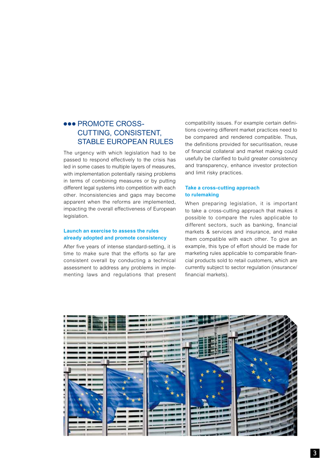## $\bullet\bullet\bullet$  **PROMOTE CROSS-***CUTTING, CONSISTENT, STABLE EUROPEAN RULES*

*The urgency with which legislation had to be passed to respond effectively to the crisis has led in some cases to multiple layers of measures, with implementation potentially raising problems in terms of combining measures or by putting different legal systems into competition with each other. Inconsistencies and gaps may become apparent when the reforms are implemented, impacting the overall effectiveness of European legislation.* 

#### *Launch an exercise to assess the rules already adopted and promote consistency*

*After five years of intense standard-setting, it is time to make sure that the efforts so far are consistent overall by conducting a technical assessment to address any problems in implementing laws and regulations that present*  *compatibility issues. For example certain definitions covering different market practices need to be compared and rendered compatible. Thus, the definitions provided for securitisation, reuse of financial collateral and market making could usefully be clarified to build greater consistency and transparency, enhance investor protection and limit risky practices.*

#### *Take a cross-cutting approach to rulemaking*

*When preparing legislation, it is important to take a cross-cutting approach that makes it possible to compare the rules applicable to different sectors, such as banking, financial markets & services and insurance, and make them compatible with each other. To give an example, this type of effort should be made for marketing rules applicable to comparable financial products sold to retail customers, which are currently subject to sector regulation (insurance/ financial markets).* 

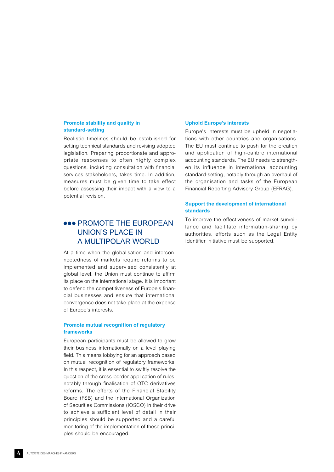#### *Promote stability and quality in standard-setting*

*Realistic timelines should be established for setting technical standards and revising adopted legislation. Preparing proportionate and appropriate responses to often highly complex questions, including consultation with financial services stakeholders, takes time. In addition, measures must be given time to take effect before assessing their impact with a view to a potential revision.*

## *PROMOTE THE EUROPEAN UNION'S PLACE IN A MULTIPOLAR WORLD*

*At a time when the globalisation and interconnectedness of markets require reforms to be implemented and supervised consistently at global level, the Union must continue to affirm its place on the international stage. It is important to defend the competitiveness of Europe's financial businesses and ensure that international convergence does not take place at the expense of Europe's interests.* 

#### *Promote mutual recognition of regulatory frameworks*

*European participants must be allowed to grow their business internationally on a level playing field. This means lobbying for an approach based on mutual recognition of regulatory frameworks.*  In this respect, it is essential to swiftly resolve the *question of the cross-border application of rules, notably through finalisation of OTC derivatives reforms. The efforts of the Financial Stability Board (FSB) and the International Organization of Securities Commissions (IOSCO) in their drive to achieve a sufficient level of detail in their principles should be supported and a careful monitoring of the implementation of these principles should be encouraged.*

#### *Uphold Europe's interests*

*Europe's interests must be upheld in negotiations with other countries and organisations. The EU must continue to push for the creation and application of high-calibre international accounting standards. The EU needs to strengthen its influence in international accounting standard-setting, notably through an overhaul of the organisation and tasks of the European Financial Reporting Advisory Group (EFRAG).* 

#### *Support the development of international standards*

*To improve the effectiveness of market surveillance and facilitate information-sharing by authorities, efforts such as the Legal Entity Identifier initiative must be supported.*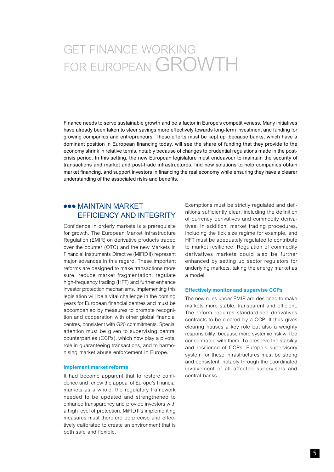# *GET FINANCE WORKING FOR EUROPEAN GROWTH*

*Finance needs to serve sustainable growth and be a factor in Europe's competitiveness. Many initiatives have already been taken to steer savings more effectively towards long-term investment and funding for growing companies and entrepreneurs. These efforts must be kept up, because banks, which have a*  dominant position in European financing today, will see the share of funding that they provide to the *economy shrink in relative terms, notably because of changes to prudential regulations made in the postcrisis period. In this setting, the new European legislature must endeavour to maintain the security of transactions and market and post-trade infrastructures, find new solutions to help companies obtain market financing, and support investors in financing the real economy while ensuring they have a clearer understanding of the associated risks and benefits.*

### *MAINTAIN MARKET EFFICIENCY AND INTEGRITY*

*Confidence in orderly markets is a prerequisite for growth. The European Market Infrastructure Regulation (EMIR) on derivative products traded over the counter (OTC) and the new Markets in Financial Instruments Directive (MiFIDII) represent major advances in this regard. These important reforms are designed to make transactions more sure, reduce market fragmentation, regulate high-frequency trading (HFT) and further enhance investor protection mechanisms. Implementing this legislation will be a vital challenge in the coming years for European financial centres and must be accompanied by measures to promote recognition and cooperation with other global financial centres, consistent with G20 commitments. Special attention must be given to supervising central counterparties (CCPs), which now play a pivotal role in guaranteeing transactions, and to harmonising market abuse enforcement in Europe.*

#### *Implement market reforms*

*It had become apparent that to restore confidence and renew the appeal of Europe's financial markets as a whole, the regulatory framework needed to be updated and strengthened to enhance transparency and provide investors with a high level of protection. MiFID II's implementing measures must therefore be precise and effectively calibrated to create an environment that is both safe and flexible.* 

*Exemptions must be strictly regulated and definitions sufficiently clear, including the definition of currency derivatives and commodity derivatives. In addition, market trading procedures, including the tick size regime for example, and HFT must be adequately regulated to contribute to market resilience. Regulation of commodity derivatives markets could also be further enhanced by setting up sector regulators for underlying markets, taking the energy market as a model.* 

#### *Effectively monitor and supervise CCPs*

*The new rules under EMIR are designed to make markets more stable, transparent and efficient. The reform requires standardised derivatives contracts to be cleared by a CCP. It thus gives clearing houses a key role but also a weighty responsibility, because more systemic risk will be concentrated with them. To preserve the stability and resilience of CCPs, Europe's supervisory system for these infrastructures must be strong and consistent, notably through the coordinated involvement of all affected supervisors and central banks.*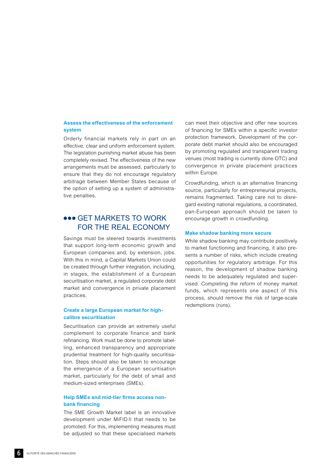#### *Assess the effectiveness of the enforcement system*

*Orderly financial markets rely in part on an effective, clear and uniform enforcement system. The legislation punishing market abuse has been completely revised. The effectiveness of the new arrangements must be assessed, particularly to ensure that they do not encourage regulatory arbitrage between Member States because of the option of setting up a system of administrative penalties.*

## *GET MARKETS TO WORK FOR THE REAL ECONOMY*

*Savings must be steered towards investments that support long-term economic growth and European companies and, by extension, jobs. With this in mind, a Capital Markets Union could be created through further integration, including, in stages, the establishment of a European securitisation market, a regulated corporate debt market and convergence in private placement practices.*

#### *Create a large European market for highcalibre securitisation*

*Securitisation can provide an extremely useful complement to corporate finance and bank refinancing. Work must be done to promote labelling, enhanced transparency and appropriate prudential treatment for high-quality securitisation. Steps should also be taken to encourage the emergence of a European securitisation market, particularly for the debt of small and medium-sized enterprises (SMEs).*

#### *Help SMEs and mid-tier firms access nonbank financing*

*The SME Growth Market label is an innovative development under MiFID II that needs to be promoted. For this, implementing measures must be adjusted so that these specialised markets* 

*can meet their objective and offer new sources of financing for SMEs within a specific investor protection framework. Development of the corporate debt market should also be encouraged by promoting regulated and transparent trading venues (most trading is currently done OTC) and convergence in private placement practices within Europe.*

*Crowdfunding, which is an alternative financing source, particularly for entrepreneurial projects, remains fragmented. Taking care not to disregard existing national regulations, a coordinated, pan-European approach should be taken to encourage growth in crowdfunding.*

#### *Make shadow banking more secure*

*While shadow banking may contribute positively to market functioning and financing, it also presents a number of risks, which include creating opportunities for regulatory arbitrage. For this reason, the development of shadow banking needs to be adequately regulated and supervised. Completing the reform of money market funds, which represents one aspect of this process, should remove the risk of large-scale redemptions (runs).*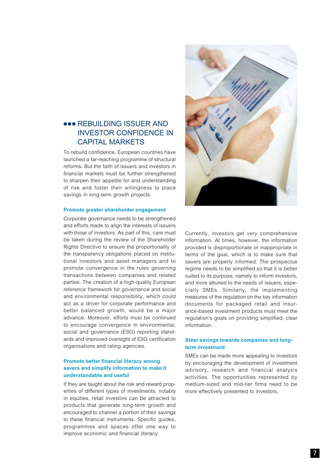### **800 REBUILDING ISSUER AND** *INVESTOR CONFIDENCE IN CAPITAL MARKETS*

*To rebuild confidence, European countries have launched a far-reaching programme of structural reforms. But the faith of issuers and investors in financial markets must be further strengthened to sharpen their appetite for and understanding of risk and foster their willingness to place savings in long-term growth projects.*

#### *Promote greater shareholder engagement*

*Corporate governance needs to be strengthened and efforts made to align the interests of issuers with those of investors. As part of this, care must be taken during the review of the Shareholder Rights Directive to ensure the proportionality of the transparency obligations placed on institutional investors and asset managers and to promote convergence in the rules governing transactions between companies and related parties. The creation of a high-quality European reference framework for governance and social and environmental responsibility, which could act as a driver for corporate performance and better balanced growth, would be a major advance. Moreover, efforts must be continued to encourage convergence in environmental, social and governance (ESG) reporting standards and improved oversight of ESG certification organisations and rating agencies.*

#### *Promote better financial literacy among savers and simplify information to make it understandable and useful*

*If they are taught about the risk and reward properties of different types of investments, notably in equities, retail investors can be attracted to products that generate long-term growth and encouraged to channel a portion of their savings to these financial instruments. Specific guides, programmes and spaces offer one way to improve economic and financial literacy.*



*Currently, investors get very comprehensive information. At times, however, the information provided is disproportionate or inappropriate in terms of the goal, which is to make sure that savers are properly informed. The prospectus regime needs to be simplified so that it is better suited to its purpose, namely to inform investors, and more attuned to the needs of issuers, especially SMEs. Similarly, the implementing measures of the regulation on the key information documents for packaged retail and insurance-based investment products must meet the regulation's goals on providing simplified, clear information.*

#### *Steer savings towards companies and longterm investment*

*SMEs can be made more appealing to investors by encouraging the development of investment advisory, research and financial analysis activities. The opportunities represented by medium-sized and mid-tier firms need to be more effectively presented to investors.*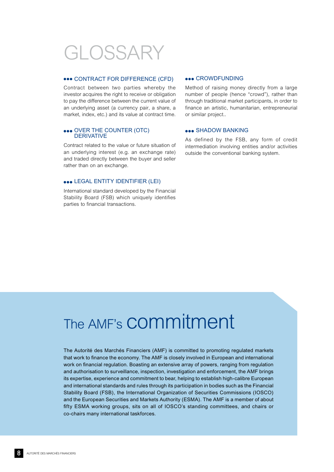# *GLOSSARY*

#### *CONTRACT FOR DIFFERENCE (CFD)*

*Contract between two parties whereby the investor acquires the right to receive or obligation to pay the difference between the current value of an underlying asset (a currency pair, a share, a market, index, etc.) and its value at contract time.*

#### *OVER THE COUNTER (OTC) DERIVATIVE*

*Contract related to the value or future situation of an underlying interest (e.g. an exchange rate) and traded directly between the buyer and seller rather than on an exchange.*

#### *LEGAL ENTITY IDENTIFIER (LEI)*

*International standard developed by the Financial Stability Board (FSB) which uniquely identifies parties to financial transactions.*

#### *CROWDFUNDING*

*Method of raising money directly from a large number of people (hence "crowd"), rather than through traditional market participants, in order to finance an artistic, humanitarian, entrepreneurial or similar project..*

#### *SHADOW BANKING*

*As defined by the FSB, any form of credit intermediation involving entities and/or activities outside the conventional banking system.*

# *The AMF's commitment*

*The Autorité des Marchés Financiers (AMF) is committed to promoting regulated markets*  that work to finance the economy. The AMF is closely involved in European and international *work on financial regulation. Boasting an extensive array of powers, ranging from regulation and authorisation to surveillance, inspection, investigation and enforcement, the AMF brings its expertise, experience and commitment to bear, helping to establish high-calibre European and international standards and rules through its participation in bodies such as the Financial Stability Board (FSB), the International Organization of Securities Commissions (IOSCO) and the European Securities and Markets Authority (ESMA). The AMF is a member of about*  fifty ESMA working groups, sits on all of IOSCO's standing committees, and chairs or *co-chairs many international taskforces.*